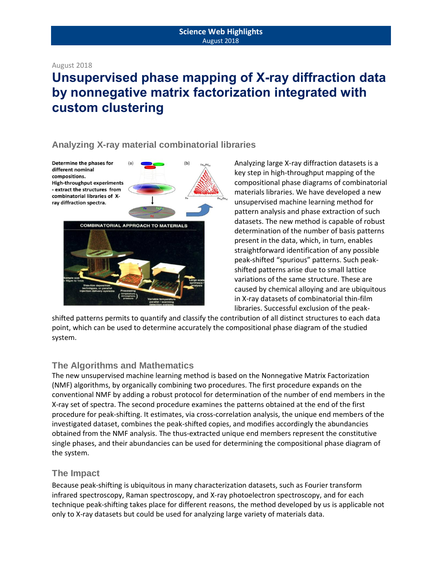#### August 2018

# **Unsupervised phase mapping of X-ray diffraction data by nonnegative matrix factorization integrated with custom clustering**

## **Analyzing X-ray material combinatorial libraries**

Determine the phases for different nominal compositions. **High-throughput experiments** - extract the structures from combinatorial libraries of Xray diffraction spectra.



Analyzing large X-ray diffraction datasets is a key step in high-throughput mapping of the compositional phase diagrams of combinatorial materials libraries. We have developed a new unsupervised machine learning method for pattern analysis and phase extraction of such datasets. The new method is capable of robust determination of the number of basis patterns present in the data, which, in turn, enables straightforward identification of any possible peak-shifted "spurious" patterns. Such peakshifted patterns arise due to small lattice variations of the same structure. These are caused by chemical alloying and are ubiquitous in X-ray datasets of combinatorial thin-film libraries. Successful exclusion of the peak-

shifted patterns permits to quantify and classify the contribution of all distinct structures to each data point, which can be used to determine accurately the compositional phase diagram of the studied system.

# **The Algorithms and Mathematics**

The new unsupervised machine learning method is based on the Nonnegative Matrix Factorization (NMF) algorithms, by organically combining two procedures. The first procedure expands on the conventional NMF by adding a robust protocol for determination of the number of end members in the X-ray set of spectra. The second procedure examines the patterns obtained at the end of the first procedure for peak-shifting. It estimates, via cross-correlation analysis, the unique end members of the investigated dataset, combines the peak-shifted copies, and modifies accordingly the abundancies obtained from the NMF analysis. The thus-extracted unique end members represent the constitutive single phases, and their abundancies can be used for determining the compositional phase diagram of the system.

## **The Impact**

Because peak-shifting is ubiquitous in many characterization datasets, such as Fourier transform infrared spectroscopy, Raman spectroscopy, and X-ray photoelectron spectroscopy, and for each technique peak-shifting takes place for different reasons, the method developed by us is applicable not only to X-ray datasets but could be used for analyzing large variety of materials data.